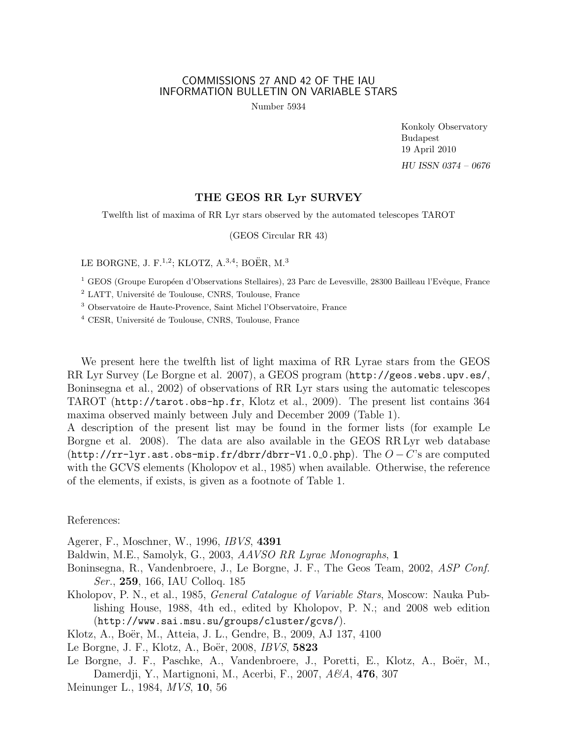## COMMISSIONS 27 AND 42 OF THE IAU INFORMATION BULLETIN ON VARIABLE STARS

Number 5934

Konkoly Observatory Budapest 19 April 2010 HU ISSN 0374 – 0676

## THE GEOS RR Lyr SURVEY

Twelfth list of maxima of RR Lyr stars observed by the automated telescopes TAROT

(GEOS Circular RR 43)

LE BORGNE, J. F.<sup>1,2</sup>; KLOTZ, A.<sup>3,4</sup>; BOËR, M.<sup>3</sup>

<sup>1</sup> GEOS (Groupe Européen d'Observations Stellaires), 23 Parc de Levesville, 28300 Bailleau l'Evêque, France

<sup>2</sup> LATT, Université de Toulouse, CNRS, Toulouse, France

<sup>3</sup> Observatoire de Haute-Provence, Saint Michel l'Observatoire, France

 $4$  CESR, Université de Toulouse, CNRS, Toulouse, France

We present here the twelfth list of light maxima of RR Lyrae stars from the GEOS RR Lyr Survey (Le Borgne et al. 2007), a GEOS program (http://geos.webs.upv.es/, Boninsegna et al., 2002) of observations of RR Lyr stars using the automatic telescopes TAROT (http://tarot.obs-hp.fr, Klotz et al., 2009). The present list contains 364 maxima observed mainly between July and December 2009 (Table 1).

A description of the present list may be found in the former lists (for example Le Borgne et al. 2008). The data are also available in the GEOS RR Lyr web database (http://rr-lyr.ast.obs-mip.fr/dbrr/dbrr-V1.0\_0.php). The  $O-C$ 's are computed with the GCVS elements (Kholopov et al., 1985) when available. Otherwise, the reference of the elements, if exists, is given as a footnote of Table 1.

References:

Agerer, F., Moschner, W., 1996, IBVS, 4391

Baldwin, M.E., Samolyk, G., 2003, AAVSO RR Lyrae Monographs, 1

- Boninsegna, R., Vandenbroere, J., Le Borgne, J. F., The Geos Team, 2002, ASP Conf. Ser., 259, 166, IAU Colloq. 185
- Kholopov, P. N., et al., 1985, General Catalogue of Variable Stars, Moscow: Nauka Publishing House, 1988, 4th ed., edited by Kholopov, P. N.; and 2008 web edition (http://www.sai.msu.su/groups/cluster/gcvs/).

Klotz, A., Boër, M., Atteia, J. L., Gendre, B., 2009, AJ 137, 4100

Le Borgne, J. F., Klotz, A., Boër, 2008, *IBVS*, **5823** 

Le Borgne, J. F., Paschke, A., Vandenbroere, J., Poretti, E., Klotz, A., Boër, M., Damerdji, Y., Martignoni, M., Acerbi, F., 2007, A&A, **476**, 307

Meinunger L., 1984, MVS, 10, 56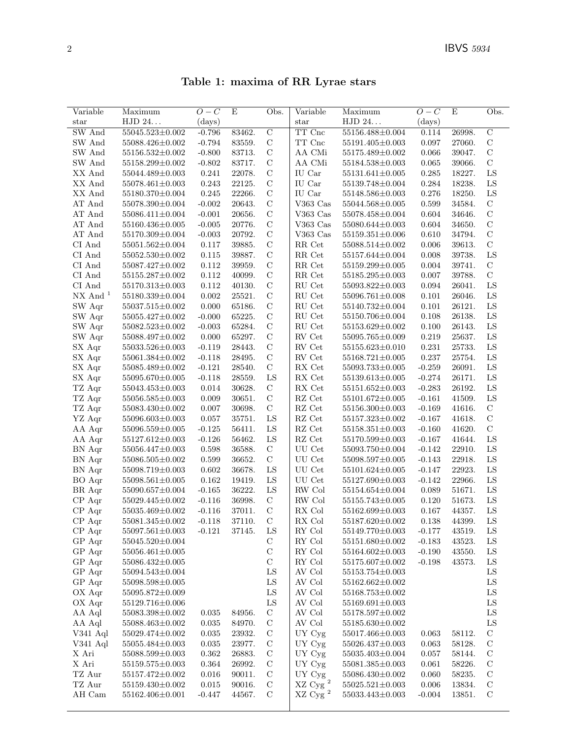Table 1: maxima of RR Lyrae stars

| Variable              | Maximum                | $O-C$    | E      | Obs.           | Variable                       | Maximum               | $\overline{O-C}$ | E      | Obs.           |
|-----------------------|------------------------|----------|--------|----------------|--------------------------------|-----------------------|------------------|--------|----------------|
| star                  | ${\rm HJD}$ $24\ldots$ | (days)   |        |                | star                           | ${\rm HJD}$ $24.$     | (days)           |        |                |
| SW And                | 55045.523±0.002        | $-0.796$ | 83462. | $\overline{C}$ | TT Cnc                         | 55156.488±0.004       | 0.114            | 26998. | $\overline{C}$ |
| SW And                | 55088.426±0.002        | $-0.794$ | 83559. | $\mathcal{C}$  | $\operatorname{TT}$ Cnc        | 55191.405±0.003       | 0.097            | 27060. | $\mathbf C$    |
| SW And                | $55156.532 \pm 0.002$  | $-0.800$ | 83713. | $\mathbf C$    | AA CMi                         | 55175.489±0.002       | 0.066            | 39047. | $\mathbf C$    |
| SW And                | 55158.299±0.002        | $-0.802$ | 83717. | $\mathbf C$    | AA CMi                         | 55184.538±0.003       | 0.065            | 39066. | $\mathbf C$    |
| XX And                | 55044.489±0.003        | 0.241    | 22078. | $\mathbf C$    | IU Car                         | 55131.641±0.005       | 0.285            | 18227. | ${\rm LS}$     |
| XX And                | $55078.461{\pm}0.003$  | 0.243    | 22125. | $\mathbf C$    | IU Car                         | 55139.748±0.004       | 0.284            | 18238. | LS             |
| XX And                | 55180.370±0.004        | 0.245    | 22266. | $\mathcal{C}$  | IU Car                         | 55148.586±0.003       | 0.276            | 18250. | ${\rm LS}$     |
| AT And                | 55078.390±0.004        | $-0.002$ | 20643. | $\mathcal{C}$  | V363 $\rm Cas$                 | 55044.568±0.005       | 0.599            | 34584. | $\mathbf C$    |
| AT And                | 55086.411±0.004        | $-0.001$ | 20656. | $\mathbf C$    | V363 Cas                       | 55078.458±0.004       | 0.604            | 34646. | $\mathbf C$    |
| AT And                | 55160.436±0.005        | $-0.005$ | 20776. | $\mathbf C$    | $V363$ Cas                     | 55080.644±0.003       | 0.604            | 34650. | $\mathbf C$    |
| AT And                | 55170.309±0.004        | $-0.003$ | 20792. | $\mathbf C$    | $V363$ Cas                     | $55159.351 \pm 0.006$ | 0.610            | 34794. | $\mathbf C$    |
| CI And                | $55051.562 \pm 0.004$  | 0.117    | 39885. | $\mathbf C$    | RR Cet                         | 55088.514±0.002       | 0.006            | 39613. | $\mathcal{C}$  |
| CI And                | $55052.530 \pm 0.002$  | 0.115    | 39887. | $\mathbf C$    | RR Cet                         | 55157.644±0.004       | 0.008            | 39738. | ${\rm LS}$     |
| $\rm CI~And$          | 55087.427±0.002        | 0.112    | 39959. | $\mathbf C$    | RR Cet                         | 55159.299±0.005       | 0.004            | 39741. | $\mathbf C$    |
| CI And                | $55155.287 \pm 0.002$  | 0.112    | 40099. | $\mathbf C$    | RR Cet                         | 55185.295±0.003       | 0.007            | 39788. | $\mathbf C$    |
| CI And                | 55170.313±0.003        | 0.112    | 40130. | $\mathbf C$    | RU Cet                         | 55093.822±0.003       | 0.094            | 26041. | ${\rm LS}$     |
| $NX$ And <sup>1</sup> | 55180.339±0.004        | 0.002    | 25521. | $\mathbf C$    | $\mathrm{RU}$ Cet              | 55096.761±0.008       | 0.101            | 26046. | ${\rm LS}$     |
| SW Aqr                | 55037.515±0.002        | 0.000    | 65186. | $\mathbf C$    | RU Cet                         | 55140.732±0.004       | 0.101            | 26121. | ${\rm LS}$     |
| SW Aqr                | 55055.427±0.002        | $-0.000$ | 65225. | $\mathbf C$    | RU Cet                         | 55150.706±0.004       | 0.108            | 26138. | ${\rm LS}$     |
| SW Aqr                | 55082.523±0.002        | $-0.003$ | 65284. | $\mathcal{C}$  | $\mathop{\rm RU}\nolimits$ Cet | 55153.629±0.002       | 0.100            | 26143. | ${\rm LS}$     |
| SW Aqr                | 55088.497±0.002        | 0.000    | 65297. | $\mathbf C$    | ${\rm RV}$ Cet                 | 55095.765±0.009       | 0.219            | 25637. | ${\rm LS}$     |
| SX Aqr                | 55033.526±0.003        | $-0.119$ | 28443. | $\mathbf C$    | RV Cet                         | $55155.623 \pm 0.010$ | $\rm 0.231$      | 25733. | LS             |
| SX Aqr                | 55061.384±0.002        | $-0.118$ | 28495. | $\mathbf C$    | ${\rm RV}$ Cet                 | $55168.721 \pm 0.005$ | 0.237            | 25754. | ${\rm LS}$     |
| SX Aqr                | 55085.489±0.002        | $-0.121$ | 28540. | $\mathcal{C}$  | ${\sf RX}$ Cet                 | $55093.733 \pm 0.005$ | $-0.259$         | 26091. | ${\rm LS}$     |
| SX Aqr                | 55095.670±0.005        | $-0.118$ | 28559. | LS             | ${\sf RX}$ Cet                 | 55139.613±0.005       | $-0.274$         | 26171. | ${\rm LS}$     |
| TZ Aqr                | $55043.453 \pm 0.003$  | 0.014    | 30628. | $\mathbf C$    | RX Cet                         | $55151.652 \pm 0.003$ | $-0.283$         | 26192. | ${\rm LS}$     |
| TZ Aqr                | $55056.585 \pm 0.003$  | 0.009    | 30651. | $\mathbf C$    | RZ Cet                         | 55101.672±0.005       | $-0.161$         | 41509. | ${\rm LS}$     |
| TZ Aqr                | 55083.430±0.002        | 0.007    | 30698. | $\mathbf C$    | RZ Cet                         | 55156.300 $\pm$ 0.003 | $-0.169$         | 41616. | $\mathbf C$    |
| YZ Aqr                | $55096.603 \pm 0.003$  | 0.057    | 35751. | LS             | RZ Cet                         | 55157.323±0.002       | $-0.167$         | 41618. | $\mathbf C$    |
| AA Aqr                | 55096.559±0.005        | $-0.125$ | 56411. | ${\rm LS}$     | $\mathbf{R}\mathbf{Z}$ Cet     | $55158.351 \pm 0.003$ | $-0.160$         | 41620. | $\mathcal{C}$  |
| AA Aqr                | $55127.612 \pm 0.003$  | $-0.126$ | 56462. | ${\rm LS}$     | RZ Cet                         | 55170.599±0.003       | $-0.167$         | 41644. | ${\rm LS}$     |
| BN Aqr                | $55056.447 \pm 0.003$  | 0.598    | 36588. | $\mathbf C$    | UU Cet                         | 55093.750 $\pm$ 0.004 | $-0.142$         | 22910. | ${\rm LS}$     |
| BN Aqr                | 55086.505±0.002        | 0.599    | 36652. | $\mathbf C$    | UU Cet                         | 55098.597±0.005       | $-0.143$         | 22918. | ${\rm LS}$     |
| BN Aqr                | 55098.719±0.003        | 0.602    | 36678. | ${\rm LS}$     | UU Cet                         | $55101.624 \pm 0.005$ | $-0.147$         | 22923. | LS             |
| BO Aqr                | $55098.561 \pm 0.005$  | 0.162    | 19419. | ${\rm LS}$     | UU Cet                         | 55127.690±0.003       | $-0.142$         | 22966. | ${\rm LS}$     |
| BR Aqr                | 55090.657±0.004        | $-0.165$ | 36222. | LS             | ${\rm RW}$ Col $\,$            | 55154.654±0.004       | 0.089            | 51671. | ${\rm LS}$     |
| $CP$ Aqr              | 55029.445±0.002        | $-0.116$ | 36998. | $\mathbf C$    | RW Col                         | 55155.743±0.005       | 0.120            | 51673. | ${\rm LS}$     |
| $CP$ Aqr              | 55035.469±0.002        | $-0.116$ | 37011. | $\mathcal{C}$  | ${\rm RX}$ Col $\,$            | 55162.699±0.003       | 0.167            | 44357. | ${\rm LS}$     |
| ${\rm CP}$ Aqr        | 55081.345±0.002        | $-0.118$ | 37110. | C              | RX Col                         | 55187.620±0.002       | 0.138            | 44399. | LS             |
| $CP$ Aqr              | $55097.561 \pm 0.003$  | $-0.121$ | 37145. | LS             | RY Col                         | 55149.770±0.003       | $-0.177$         | 43519. | ${\rm LS}$     |
| GP Aqr                | $55045.520 \pm 0.004$  |          |        | $\mathbf C$    | RY Col                         | 55151.680±0.002       | $-0.183$         | 43523. | ${\rm LS}$     |
| GP Aqr                | 55056.461±0.005        |          |        | $\mathbf C$    | $\mathop{\rm RY}\nolimits$ Col | 55164.602±0.003       | $-0.190$         | 43550. | LS             |
| GP Aqr                | 55086.432±0.005        |          |        | $\mathbf C$    | RY Col                         | 55175.607±0.002       | $-0.198$         | 43573. | ${\rm LS}$     |
| GP Aqr                | $55094.543 \pm 0.004$  |          |        | LS             | AV Col                         | 55153.754±0.003       |                  |        | LS             |
| GP Aqr                | 55098.598±0.005        |          |        | LS             | AV Col                         | $55162.662 \pm 0.002$ |                  |        | ${\rm LS}$     |
| OX Aqr                | 55095.872±0.009        |          |        | ${\rm LS}$     | AV Col                         | $55168.753\pm0.002$   |                  |        | ${\rm LS}$     |
| OX Aqr                | 55129.716±0.006        |          |        | ${\rm LS}$     | AV Col                         | $55169.691 \pm 0.003$ |                  |        | ${\rm LS}$     |
| AA Aql                | 55083.398±0.002        | 0.035    | 84956. | $\mathcal{C}$  | AV Col                         | 55178.597±0.002       |                  |        | ${\rm LS}$     |
| AA Aql                | $55088.463 \pm 0.002$  | 0.035    | 84970. | $\mathcal{C}$  | AV Col                         | 55185.630±0.002       |                  |        | ${\rm LS}$     |
| V341 Aql              | 55029.474±0.002        | 0.035    | 23932. | $\mathcal{C}$  | UY Cyg                         | 55017.466±0.003       | 0.063            | 58112. | $\mathbf C$    |
| V341 Aql              | 55055.484±0.003        | 0.035    | 23977. | $\mathcal{C}$  | UY Cyg                         | 55026.437±0.003       | 0.063            | 58128. | $\mathbf C$    |
| X Ari                 | $55088.599 \pm 0.003$  | 0.362    | 26883. | $\mathcal{C}$  | UY Cyg                         | 55035.403±0.004       | 0.057            | 58144. | $\mathbf C$    |
| X Ari                 | $55159.575 \pm 0.003$  | 0.364    | 26992. | $\mathcal{C}$  | UY Cyg                         | 55081.385±0.003       | 0.061            | 58226. | $\mathcal{C}$  |
| TZ Aur                | 55157.472±0.002        | 0.016    | 90011. | $\mathcal{C}$  | UY Cyg                         | 55086.430±0.002       | 0.060            | 58235. | $\mathcal{C}$  |
| TZ Aur                | 55159.430±0.002        | 0.015    | 90016. | $\mathcal{C}$  | $\rm XZ$ Cyg $^2$              | $55025.521{\pm}0.003$ | 0.006            | 13834. | C              |
| AH Cam                | 55162.406±0.001        | $-0.447$ | 44567. | $\mathcal{C}$  | $\rm XZ$ Cy<br>g $^2$          | $55033.443{\pm}0.003$ | $-0.004$         | 13851. | C              |
|                       |                        |          |        |                |                                |                       |                  |        |                |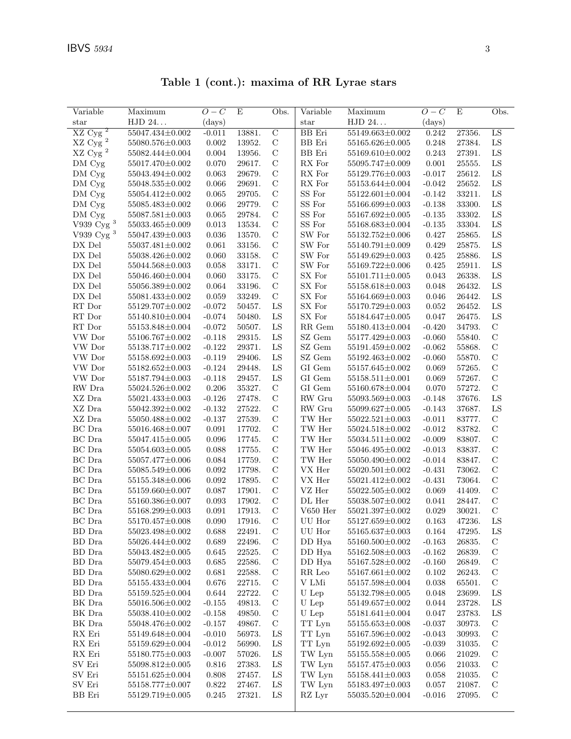| Variable                          | Maximum               | $O-C$       | E      | Obs.           | Variable                | Maximum                | $O-C$    | E      | Obs.            |
|-----------------------------------|-----------------------|-------------|--------|----------------|-------------------------|------------------------|----------|--------|-----------------|
| star                              | HJD 24                | (days)      |        |                | star                    | ${\rm HJD}$ $24\ldots$ | (days)   |        |                 |
| $\overline{\mathbf{c}}$<br>XZ Cyg | 55047.434±0.002       | $-0.011$    | 13881. | $\overline{C}$ | $\overline{BB}$ Eri     | $55149.663 \pm 0.002$  | 0.242    | 27356. | $\overline{LS}$ |
| $\rm XZ$ Cyg $^2$                 | 55080.576±0.003       | 0.002       | 13952. | $\mathcal C$   | BB Eri                  | $55165.626 \pm 0.005$  | 0.248    | 27384. | ${\rm LS}$      |
| $\rm XZ$ Cyg $^2$                 | 55082.444±0.004       | 0.004       | 13956. | $\mathcal{C}$  | BB Eri                  | 55169.610±0.002        | 0.243    | 27391. | LS              |
| DM Cyg                            | 55017.470±0.002       | 0.070       | 29617. | $\mathbf C$    | RX For                  | 55095.747±0.009        | 0.001    | 25555. | ${\rm LS}$      |
| DM Cyg                            | 55043.494±0.002       | 0.063       | 29679. | $\mathbf C$    | RX For                  | 55129.776±0.003        | $-0.017$ | 25612. | ${\rm LS}$      |
| DM Cyg                            | 55048.535±0.002       | 0.066       | 29691. | $\mathbf C$    | RX For                  | 55153.644±0.004        | $-0.042$ | 25652. | ${\rm LS}$      |
| DM Cyg                            | 55054.412±0.002       | 0.065       | 29705. | $\mathcal{C}$  | SS For                  | $55122.601 \pm 0.004$  | $-0.142$ | 33211. | ${\rm LS}$      |
| DM Cyg                            | 55085.483±0.002       | 0.066       | 29779. | $\mathcal C$   | SS For                  | 55166.699±0.003        | $-0.138$ | 33300. | ${\rm LS}$      |
| DM Cyg                            | 55087.581±0.003       | 0.065       | 29784. | $\mathbf C$    | SS For                  | 55167.692±0.005        | $-0.135$ | 33302. | ${\rm LS}$      |
| V939 Cyg $^3$                     | 55033.465±0.009       | $\,0.013\,$ | 13534. | $\mathbf C$    | $\rm SS\ for$           | 55168.683±0.004        | $-0.135$ | 33304. | ${\rm LS}$      |
| V939 Cyg $^3$                     | $55047.439{\pm}0.003$ | $\,0.036\,$ | 13570. | $\mathbf C$    | SW For                  | 55132.752±0.006        | 0.427    | 25865. | ${\rm LS}$      |
|                                   |                       |             |        |                |                         |                        |          |        | ${\rm LS}$      |
| DX Del                            | 55037.481±0.002       | 0.061       | 33156. | $\mathbf C$    | SW For                  | 55140.791±0.009        | 0.429    | 25875. |                 |
| DX Del                            | 55038.426±0.002       | 0.060       | 33158. | $\mathcal{C}$  | SW For                  | 55149.629±0.003        | 0.425    | 25886. | ${\rm LS}$      |
| DX Del                            | 55044.568±0.003       | 0.058       | 33171. | $\mathcal{C}$  | SW For                  | 55169.722±0.006        | 0.425    | 25911. | LS              |
| ${\rm D}X$ Del                    | $55046.460{\pm}0.004$ | 0.060       | 33175. | $\mathbf C$    | ${\rm SX\ For}$         | $55101.711 \pm 0.005$  | 0.043    | 26338. | ${\rm LS}$      |
| DX Del                            | 55056.389±0.002       | 0.064       | 33196. | $\mathbf C$    | SX For                  | 55158.618±0.003        | 0.048    | 26432. | ${\rm LS}$      |
| DX Del                            | 55081.433±0.002       | 0.059       | 33249. | $\mathbf C$    | SX For                  | 55164.669±0.003        | 0.046    | 26442. | ${\rm LS}$      |
| RT Dor                            | 55129.707±0.002       | $-0.072$    | 50457. | ${\rm LS}$     | SX For                  | 55170.729±0.003        | 0.052    | 26452. | ${\rm LS}$      |
| $\mathop{\rm RT}$ Dor             | 55140.810±0.004       | $-0.074$    | 50480. | ${\rm LS}$     | SX For                  | 55184.647±0.005        | 0.047    | 26475. | ${\rm LS}$      |
| RT Dor                            | 55153.848±0.004       | $-0.072$    | 50507. | ${\rm LS}$     | RR Gem                  | 55180.413±0.004        | $-0.420$ | 34793. | $\mathbf C$     |
| VW Dor                            | 55106.767±0.002       | $-0.118$    | 29315. | ${\rm LS}$     | SZ Gem                  | 55177.429±0.003        | $-0.060$ | 55840. | $\mathcal{C}$   |
| VW Dor                            | 55138.717±0.002       | $-0.122$    | 29371. | ${\rm LS}$     | SZ Gem                  | 55191.459±0.002        | $-0.062$ | 55868. | $\mathcal{C}$   |
| VW Dor                            | 55158.692±0.003       | $-0.119$    | 29406. | ${\rm LS}$     | SZ Gem                  | 55192.463±0.002        | $-0.060$ | 55870. | $\mathcal{C}$   |
| VW Dor                            | $55182.652 \pm 0.003$ | $-0.124$    | 29448. | LS             | GI Gem                  | 55157.645±0.002        | 0.069    | 57265. | $\mathcal{C}$   |
| VW Dor                            | 55187.794±0.003       | $-0.118$    | 29457. | LS             | GI Gem                  | $55158.511 \pm 0.001$  | 0.069    | 57267. | $\mathcal{C}$   |
| RW Dra                            | 55024.526±0.002       | 0.206       | 35327. | $\mathbf C$    | GI Gem                  | 55160.678±0.004        | 0.070    | 57272. | $\mathbf C$     |
| XZ Dra                            | 55021.433±0.003       | $-0.126$    | 27478. | $\mathbf C$    | RW Gru                  | 55093.569±0.003        | $-0.148$ | 37676. | LS              |
| $\rm XZ$ Dra                      | 55042.392±0.002       | $-0.132$    | 27522. | $\mathbf C$    | RW Gru                  | 55099.627±0.005        | $-0.143$ | 37687. | LS              |
| XZ Dra                            | 55050.488±0.002       | $-0.137$    | 27539. | $\mathbf C$    | $\operatorname{TW}$ Her | $55022.521 \pm 0.003$  | $-0.011$ | 83777. | $\mathbf C$     |
| $\rm BC~Dra$                      | 55016.468±0.007       | 0.091       | 17702. | $\mathbf C$    | TW Her                  | 55024.518±0.002        | $-0.012$ | 83782. | $\mathcal{C}$   |
| BC Dra                            | 55047.415±0.005       | 0.096       | 17745. | $\mathcal{C}$  | TW Her                  | 55034.511±0.002        | $-0.009$ | 83807. | $\mathcal{C}$   |
|                                   |                       |             |        |                |                         |                        |          |        | $\mathcal{C}$   |
| BC Dra                            | 55054.603±0.005       | 0.088       | 17755. | $\mathbf C$    | TW Her                  | 55046.495±0.002        | $-0.013$ | 83837. |                 |
| $\operatorname{BC}$ Dra           | 55057.477±0.006       | 0.084       | 17759. | $\mathcal{C}$  | $\operatorname{TW}$ Her | $55050.490{\pm}0.002$  | $-0.014$ | 83847. | $\mathcal C$    |
| $\rm BC~Dra$                      | 55085.549±0.006       | 0.092       | 17798. | $\mathbf C$    | VX Her                  | $55020.501 \pm 0.002$  | $-0.431$ | 73062. | $\mathcal{C}$   |
| BC Dra                            | 55155.348±0.006       | 0.092       | 17895. | $\mathbf C$    | VX Her                  | 55021.412±0.002        | $-0.431$ | 73064. | $\mathbf C$     |
| $\operatorname{BC}$ Dra           | 55159.660±0.007       | $0.087\,$   | 17901. | $\mathcal{C}$  | VZ Her                  | 55022.505±0.002        | 0.069    | 41409. | $\mathcal{C}$   |
| BC Dra                            | 55160.386±0.007       | $\,0.093\,$ | 17902. | $\mathbf C$    | DL Her                  | 55038.507±0.002        | 0.041    | 28447. | $\mathcal{C}$   |
| $\rm BC~Dra$                      | 55168.299±0.003       | 0.091       | 17913. | $\mathbf C$    | $V650$ Her              | 55021.397±0.002        | 0.029    | 30021. | $\mathcal{C}$   |
| BC Dra                            | 55170.457±0.008       | 0.090       | 17916. | $\mathcal{C}$  | UU Hor                  | 55127.659±0.002        | 0.163    | 47236. | LS              |
| BD Dra                            | $55023.498{\pm}0.002$ | 0.688       | 22491. | $\mathbf C$    | UU Hor                  | $55165.637{\pm}0.003$  | 0.164    | 47295. | ${\rm LS}$      |
| BD Dra                            | 55026.444±0.002       | 0.689       | 22496. | $\mathbf C$    | DD Hya                  | 55160.500±0.002        | $-0.163$ | 26835. | $\mathbf C$     |
| BD Dra                            | 55043.482±0.005       | 0.645       | 22525. | C              | DD Hya                  | 55162.508±0.003        | $-0.162$ | 26839. | $\mathcal{C}$   |
| BD Dra                            | 55079.454±0.003       | 0.685       | 22586. | $\mathcal{C}$  | DD Hya                  | 55167.528±0.002        | $-0.160$ | 26849. | $\mathcal{C}$   |
| BD Dra                            | 55080.629±0.002       | 0.681       | 22588. | $\mathbf C$    | RR Leo                  | $55167.661 \pm 0.002$  | 0.102    | 26243. | $\mathcal{C}$   |
| BD Dra                            | 55155.433±0.004       | $0.676\,$   | 22715. | $\mathcal{C}$  | V LMi                   | 55157.598±0.004        | 0.038    | 65501. | $\mathcal{C}$   |
| BD Dra                            | 55159.525±0.004       | 0.644       | 22722. | $\mathcal{C}$  | U Lep                   | 55132.798±0.005        | 0.048    | 23699. | LS              |
| BK Dra                            | 55016.506±0.002       | $-0.155$    | 49813. | $\mathbf C$    | U Lep                   | 55149.657±0.002        | 0.044    | 23728. | LS              |
| BK Dra                            | 55038.410±0.002       | $-0.158$    | 49850. | $\mathcal{C}$  | U Lep                   | 55181.641±0.004        | 0.047    | 23783. | LS              |
| BK Dra                            | 55048.476±0.002       | $-0.157$    | 49867. | $\mathbf C$    | TT Lyn                  | $55155.653\pm0.008$    | $-0.037$ | 30973. | $\mathbf C$     |
| ${\rm RX}$ Eri                    | 55149.648±0.004       | $-0.010$    | 56973. | ${\rm LS}$     | TT Lyn                  | 55167.596±0.002        | $-0.043$ | 30993. | $\mathcal{C}$   |
| RX Eri                            | 55159.629±0.004       | $-0.012$    | 56990. | LS             | TT Lyn                  | $55192.692 \pm 0.005$  | $-0.039$ | 31035. | $\mathcal{C}$   |
| RX Eri                            | 55180.775±0.003       | $-0.007$    | 57026. | LS             | TW Lyn                  | $55155.558 \pm 0.005$  | 0.066    | 21029. | $\mathcal{C}$   |
| $\mathrm{SV}\ \mathrm{Eri}$       | 55098.812±0.005       | $0.816\,$   | 27383. | LS             | TW Lyn                  | 55157.475±0.003        | 0.056    | 21033. | C               |
| SV Eri                            | 55151.625±0.004       | 0.808       | 27457. | LS             | TW Lyn                  | $55158.441 \pm 0.003$  | 0.058    | 21035. | $\mathcal{C}$   |
|                                   |                       |             |        |                |                         |                        |          |        |                 |
| SV Eri                            | 55158.777±0.007       | 0.822       | 27467. | LS             | TW Lyn                  | $55183.497 \pm 0.003$  | 0.057    | 21087. | $\mathcal{C}$   |
| BB Eri                            | $55129.719{\pm}0.005$ | 0.245       | 27321. | LS             | RZ Lyr                  | $55035.520 \pm 0.004$  | $-0.016$ | 27095. | $\mathbf C$     |

Table 1 (cont.): maxima of RR Lyrae stars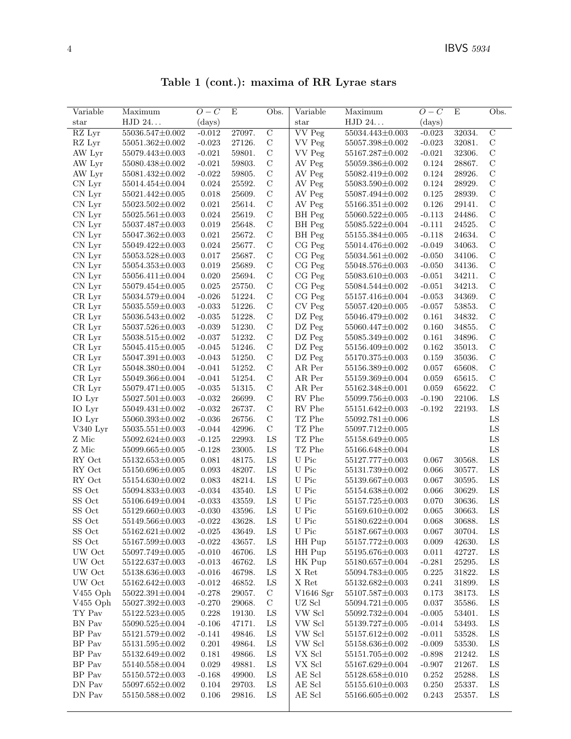Table 1 (cont.): maxima of RR Lyrae stars

| Variable       | Maximum               | $O-C$       | E      | Obs.           | Variable                | Maximum                 | $O-C$    | Ε      | Obs.           |
|----------------|-----------------------|-------------|--------|----------------|-------------------------|-------------------------|----------|--------|----------------|
| star           | HJD 24                | (days)      |        |                | star                    | HJD 24                  | (days)   |        |                |
| RZ Lyr         | 55036.547±0.002       | $-0.012$    | 27097. | $\overline{C}$ | <b>VV</b> Peg           | 55034.443±0.003         | $-0.023$ | 32034. | $\overline{C}$ |
| RZ Lyr         | $55051.362 \pm 0.002$ | $-0.023$    | 27126. | $\mathbf C$    | VV Peg                  | $55057.398{\pm}0.002$   | $-0.023$ | 32081. | $\mathbf C$    |
| AW Lyr         | 55079.443±0.003       | $-0.021$    | 59801. | $\mathbf C$    | VV Peg                  | 55167.287±0.002         | $-0.021$ | 32306. | $\mathbf C$    |
| AW Lyr         | 55080.438±0.002       | $-0.021$    | 59803. | $\mathcal C$   | AV Peg                  | 55059.386±0.002         | 0.124    | 28867. | $\mathcal{C}$  |
| AW Lyr         | 55081.432±0.002       | $-0.022$    | 59805. | $\mathbf C$    | AV Peg                  | 55082.419±0.002         | 0.124    | 28926. | $\mathbf C$    |
| CN Lyr         | $55014.454\pm0.004$   | 0.024       | 25592. | $\mathbf C$    | AV Peg                  | 55083.590±0.002         | 0.124    | 28929. | $\mathbf C$    |
| CN Lyr         | 55021.442±0.005       | 0.018       | 25609. | $\mathcal{C}$  | AV Peg                  | 55087.494±0.002         | 0.125    | 28939. | $\mathbf C$    |
| CN Lyr         | $55023.502 \pm 0.002$ | 0.021       | 25614. | $\mathbf C$    | AV Peg                  | $55166.351 \pm 0.002$   | 0.126    | 29141. | $\mathbf C$    |
| CN Lyr         | $55025.561 \pm 0.003$ | 0.024       | 25619. | $\mathcal{C}$  | BH Peg                  | $55060.522 \pm 0.005$   | $-0.113$ | 24486. | $\mathbf C$    |
| CN Lyr         | 55037.487±0.003       | 0.019       | 25648. | $\mathcal{C}$  | BH Peg                  | 55085.522±0.004         | $-0.111$ | 24525. | $\mathbf C$    |
| CN Lyr         | $55047.362 \pm 0.003$ | 0.021       | 25672. | $\mathcal{C}$  | BH Peg                  | $55155.384 {\pm} 0.005$ | $-0.118$ | 24634. | $\mathbf C$    |
| CN Lyr         | 55049.422±0.003       | 0.024       | 25677. | $\mathbf C$    | CG Peg                  | 55014.476±0.002         | $-0.049$ | 34063. | $\mathcal{C}$  |
| CN Lyr         | 55053.528±0.003       | 0.017       | 25687. | $\mathbf C$    | CG Peg                  | 55034.561±0.002         | $-0.050$ | 34106. | $\mathbf C$    |
| CN Lyr         | $55054.353\pm0.003$   | 0.019       | 25689. | $\mathbf C$    | CG Peg                  | 55048.576±0.003         | $-0.050$ | 34136. | $\mathbf C$    |
| CN Lyr         | $55056.411 \pm 0.004$ | 0.020       | 25694. | $\mathbf C$    | $CG$ $Peg$              | 55083.610±0.003         | $-0.051$ | 34211. | $\mathcal{C}$  |
| CN Lyr         | 55079.454±0.005       | 0.025       | 25750. | $\mathcal C$   | CG Peg                  | 55084.544±0.002         | $-0.051$ | 34213. | $\mathcal{C}$  |
| CR Lyr         | 55034.579±0.004       | $-0.026$    | 51224. | $\mathbf C$    | $CG$ $Peg$              | 55157.416±0.004         | $-0.053$ | 34369. | $\mathbf C$    |
| CR Lyr         | 55035.559±0.003       | $-0.033$    | 51226. | $\mathcal{C}$  | $\mathrm{CV}$ Peg       | 55057.420±0.005         | $-0.057$ | 53853. | $\mathcal{C}$  |
| CR Lyr         | 55036.543±0.002       | $-0.035$    | 51228. | $\mathbf C$    | DZ Peg                  | 55046.479±0.002         | 0.161    | 34832. | $\mathbf C$    |
| CR Lyr         | 55037.526±0.003       | $-0.039$    | 51230. | $\mathbf C$    | DZ Peg                  | 55060.447±0.002         | 0.160    | 34855. | $\mathbf C$    |
| $CR$ Lyr       | 55038.515±0.002       | $-0.037$    | 51232. | $\mathcal{C}$  | DZ Peg                  | 55085.349±0.002         | 0.161    | 34896. | $\mathbf C$    |
| CR Lyr         | 55045.415±0.005       | $-0.045$    | 51246. | $\mathcal{C}$  | DZ Peg                  | 55156.409±0.002         | 0.162    | 35013. | $\mathbf C$    |
| CR Lyr         | $55047.391 \pm 0.003$ | $-0.043$    | 51250. | $\mathbf C$    | DZ Peg                  | 55170.375±0.003         | 0.159    | 35036. | $\mathbf C$    |
| CR Lyr         | 55048.380±0.004       | $-0.041$    | 51252. | $\mathbf C$    | AR Per                  | 55156.389±0.002         | 0.057    | 65608. | $\mathbf C$    |
| CR Lyr         | 55049.366±0.004       | $-0.041$    | 51254. | $\mathbf C$    | ${\rm AR}$ Per          | 55159.369±0.004         | 0.059    | 65615. | $\mathbf C$    |
| CR Lyr         | 55079.471±0.005       | $-0.035$    | 51315. | $\mathbf C$    | AR Per                  | 55162.348±0.001         | 0.059    | 65622. | $\mathbf C$    |
| IO Lyr         | $55027.501{\pm}0.003$ | $-0.032$    | 26699. | $\mathcal{C}$  | RV Phe                  | 55099.756±0.003         | $-0.190$ | 22106. | LS             |
| IO Lyr         | $55049.431{\pm}0.002$ | $-0.032$    | 26737. | $\mathbf C$    | RV Phe                  | 55151.642±0.003         | $-0.192$ | 22193. | ${\rm LS}$     |
| IO Lyr         | 55060.393±0.002       | $-0.036$    | 26756. | $\mathcal{C}$  | TZ Phe                  | 55092.781±0.006         |          |        | ${\rm LS}$     |
| V340 Lyr       | $55035.551 \pm 0.003$ | $-0.044$    | 42996. | $\mathcal{C}$  | $\operatorname{TZ}$ Phe | 55097.712±0.005         |          |        | ${\rm LS}$     |
| Z Mic          | 55092.624±0.003       | $-0.125$    | 22993. | LS             | TZ Phe                  | 55158.649±0.005         |          |        | LS             |
| Z Mic          | $55099.665 \pm 0.005$ | $-0.128$    | 23005. | LS             | TZ Phe                  | 55166.648±0.004         |          |        | ${\rm LS}$     |
| RY Oct         | $55132.653\pm0.005$   | 0.081       | 48175. | LS             | U Pic                   | 55127.777±0.003         | 0.067    | 30568. | ${\rm LS}$     |
| RY Oct         | 55150.696±0.005       | 0.093       | 48207. | LS             | U Pic                   | 55131.739±0.002         | 0.066    | 30577. | ${\rm LS}$     |
| RY Oct         | 55154.630±0.002       | 0.083       | 48214. | ${\rm LS}$     | U Pic                   | 55139.667±0.003         | 0.067    | 30595. | ${\rm LS}$     |
| SS Oct         | 55094.833±0.003       | $-0.034$    | 43540. | LS             | U Pic                   | 55154.638±0.002         | 0.066    | 30629. | LS             |
| $\rm SS~Oct$   | $55106.649 \pm 0.004$ | $-0.033$    | 43559. | ${\rm LS}$     | ${\cal U}$ Pic          | 55157.725±0.003         | 0.070    | 30636. | ${\rm LS}$     |
| SS Oct         | 55129.660±0.003       | $-0.030$    | 43596. | LS             | ${\cal U}$ Pic          | 55169.610±0.002         | 0.065    | 30663. | ${\rm LS}$     |
| SS Oct         | $55149.566 \pm 0.003$ | $-0.022$    | 43628. | LS             | U Pic                   | 55180.622±0.004         | 0.068    | 30688. | LS             |
| SS Oct         | 55162.621±0.002       | $-0.025$    | 43649. | LS             | ${\cal U}$ Pic          | 55187.667±0.003         | 0.067    | 30704. | ${\rm LS}$     |
| ${\rm SS}$ Oct | 55167.599±0.003       | $-0.022$    | 43657. | LS             | HH Pup                  | 55157.772±0.003         | 0.009    | 42630. | LS             |
| UW Oct         | $55097.749{\pm}0.005$ | $-0.010$    | 46706. | LS             | HH Pup                  | 55195.676±0.003         | 0.011    | 42727. | LS             |
| UW Oct         | 55122.637±0.003       | $-0.013$    | 46762. | ${\rm LS}$     | HK Pup                  | 55180.657±0.004         | $-0.281$ | 25295. | LS             |
| UW Oct         | 55138.636±0.003       | $-0.016$    | 46798. | LS             | X Ret                   | 55094.783±0.005         | 0.225    | 31822. | ${\rm LS}$     |
| UW Oct         | 55162.642±0.003       | $-0.012$    | 46852. | LS             | X Ret                   | 55132.682±0.003         | 0.241    | 31899. | LS             |
| $V455$ Oph     | $55022.391 \pm 0.004$ | $-0.278$    | 29057. | $\mathcal{C}$  | V1646 Sgr               | 55107.587±0.003         | 0.173    | 38173. | ${\rm LS}$     |
| $V455$ Oph     | 55027.392±0.003       | $-0.270$    | 29068. | $\mathbf C$    | UZ Scl                  | $55094.721 \pm 0.005$   | 0.037    | 35586. | ${\rm LS}$     |
| TY Pav         | $55122.523 \pm 0.005$ | $0.228\,$   | 19130. | LS             | VW Scl                  | 55092.732±0.004         | $-0.005$ | 53401. | ${\rm LS}$     |
| BN Pav         | 55090.525±0.004       | $-0.106$    | 47171. | LS             | VW Scl                  | 55139.727±0.005         | $-0.014$ | 53493. | ${\rm LS}$     |
| BP Pav         | 55121.579±0.002       | $-0.141$    | 49846. | LS             | VW Scl                  | $55157.612 \pm 0.002$   | $-0.011$ | 53528. | ${\rm LS}$     |
| BP Pav         | 55131.595±0.002       | 0.201       | 49864. | LS             | VW Scl                  | 55158.636±0.002         | $-0.009$ | 53530. | LS             |
| BP Pav         | 55132.649±0.002       | $\rm 0.181$ | 49866. | LS             | VX Scl                  | 55151.705±0.002         | $-0.898$ | 21242. | $_{\rm LS}$    |
| BP Pav         | 55140.558±0.004       | 0.029       | 49881. | LS             | ${\rm VX}$ Scl          | 55167.629±0.004         | $-0.907$ | 21267. | LS             |
| BP Pav         | $55150.572{\pm}0.003$ | $-0.168$    | 49900. | LS             | $\mathbf{AE}$ Scl       | 55128.658±0.010         | 0.252    | 25288. | LS             |
| DN Pav         | $55097.652 \pm 0.002$ | $0.104\,$   | 29703. | LS             | $\mathbf{AE}$ Scl       | $55155.610\pm0.003$     | 0.250    | 25337. | LS             |
| DN Pav         | $55150.588 \pm 0.002$ | 0.106       | 29816. | LS             | $\mathbf{AE}$ Scl       | 55166.605±0.002         |          | 25357. | LS             |
|                |                       |             |        |                |                         |                         | 0.243    |        |                |